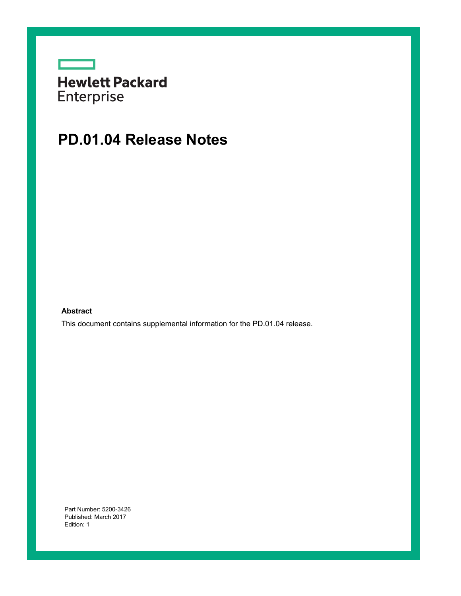|                   | <b>Hewlett Packard</b> |
|-------------------|------------------------|
| <b>Enterprise</b> |                        |

## **PD.01.04 Release Notes**

**Abstract**

This document contains supplemental information for the PD.01.04 release.

Part Number: 5200-3426 Published: March 2017 Edition: 1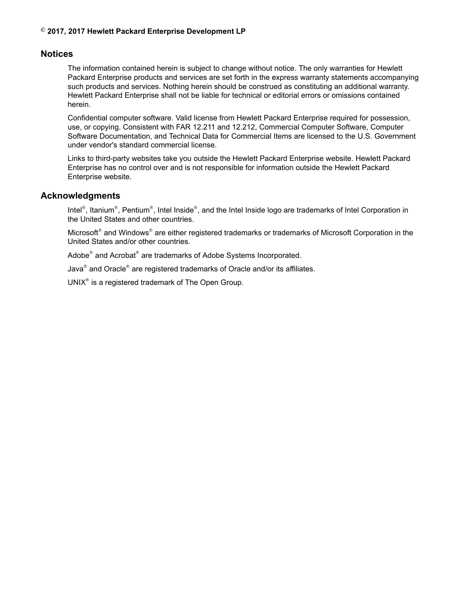### **© 2017, 2017 Hewlett Packard Enterprise Development LP**

## **Notices**

The information contained herein is subject to change without notice. The only warranties for Hewlett Packard Enterprise products and services are set forth in the express warranty statements accompanying such products and services. Nothing herein should be construed as constituting an additional warranty. Hewlett Packard Enterprise shall not be liable for technical or editorial errors or omissions contained herein.

Confidential computer software. Valid license from Hewlett Packard Enterprise required for possession, use, or copying. Consistent with FAR 12.211 and 12.212, Commercial Computer Software, Computer Software Documentation, and Technical Data for Commercial Items are licensed to the U.S. Government under vendor's standard commercial license.

Links to third-party websites take you outside the Hewlett Packard Enterprise website. Hewlett Packard Enterprise has no control over and is not responsible for information outside the Hewlett Packard Enterprise website.

## **Acknowledgments**

Intel<sup>®</sup>, Itanium<sup>®</sup>, Pentium<sup>®</sup>, Intel Inside<sup>®</sup>, and the Intel Inside logo are trademarks of Intel Corporation in the United States and other countries.

Microsoft® and Windows® are either registered trademarks or trademarks of Microsoft Corporation in the United States and/or other countries.

Adobe<sup>®</sup> and Acrobat<sup>®</sup> are trademarks of Adobe Systems Incorporated.

Java® and Oracle® are registered trademarks of Oracle and/or its affiliates.

UNI $X^{\circledast}$  is a registered trademark of The Open Group.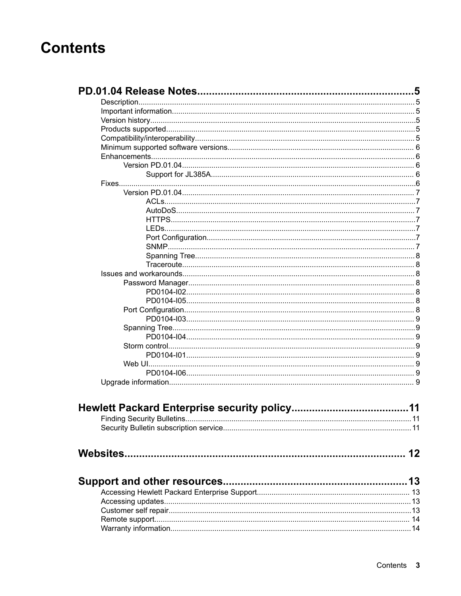## **Contents**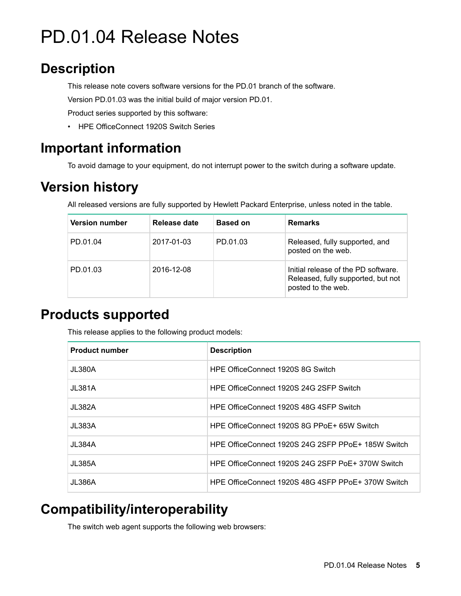# <span id="page-4-0"></span>PD.01.04 Release Notes

## **Description**

This release note covers software versions for the PD.01 branch of the software.

Version PD.01.03 was the initial build of major version PD.01.

Product series supported by this software:

• HPE OfficeConnect 1920S Switch Series

## **Important information**

To avoid damage to your equipment, do not interrupt power to the switch during a software update.

## **Version history**

All released versions are fully supported by Hewlett Packard Enterprise, unless noted in the table.

| <b>Version number</b> | Release date | <b>Based on</b> | <b>Remarks</b>                                                                                  |
|-----------------------|--------------|-----------------|-------------------------------------------------------------------------------------------------|
| PD.01.04              | 2017-01-03   | PD.01.03        | Released, fully supported, and<br>posted on the web.                                            |
| PD.01.03              | 2016-12-08   |                 | Initial release of the PD software.<br>Released, fully supported, but not<br>posted to the web. |

## **Products supported**

This release applies to the following product models:

| <b>Product number</b> | <b>Description</b>                                 |
|-----------------------|----------------------------------------------------|
| JL380A                | HPE OfficeConnect 1920S 8G Switch                  |
| JL381A                | HPE OfficeConnect 1920S 24G 2SFP Switch            |
| JL382A                | HPE OfficeConnect 1920S 48G 4SFP Switch            |
| JL383A                | HPE OfficeConnect 1920S 8G PPoE+ 65W Switch        |
| JL 384A               | HPE OfficeConnect 1920S 24G 2SFP PPoE+ 185W Switch |
| JL385A                | HPE OfficeConnect 1920S 24G 2SFP PoE+ 370W Switch  |
| JL386A                | HPE OfficeConnect 1920S 48G 4SFP PPoE+ 370W Switch |

## **Compatibility/interoperability**

The switch web agent supports the following web browsers: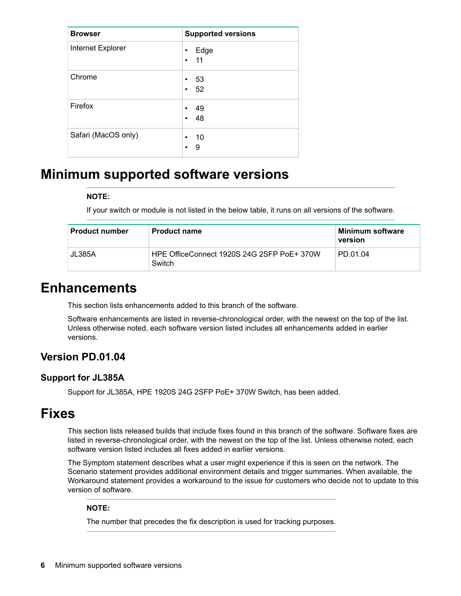<span id="page-5-0"></span>

| <b>Browser</b>      | <b>Supported versions</b>            |
|---------------------|--------------------------------------|
| Internet Explorer   | Edge<br>$\bullet$<br>$\cdot$ 11      |
| Chrome              | 53<br>$\bullet$<br>52<br>$\bullet$   |
| Firefox             | -49<br>$\bullet$<br>-48<br>$\bullet$ |
| Safari (MacOS only) | -10<br>$\bullet$<br>9<br>٠           |

## **Minimum supported software versions**

### **NOTE:**

If your switch or module is not listed in the below table, it runs on all versions of the software.

| <b>Product number</b> | <b>Product name</b>                                  | Minimum software<br>version |
|-----------------------|------------------------------------------------------|-----------------------------|
| JL385A                | HPE OfficeConnect 1920S 24G 2SFP PoE+ 370W<br>Switch | PD.01.04                    |

## **Enhancements**

This section lists enhancements added to this branch of the software.

Software enhancements are listed in reverse-chronological order, with the newest on the top of the list. Unless otherwise noted, each software version listed includes all enhancements added in earlier versions.

## **Version PD.01.04**

## **Support for JL385A**

Support for JL385A, HPE 1920S 24G 2SFP PoE+ 370W Switch, has been added.

## **Fixes**

This section lists released builds that include fixes found in this branch of the software. Software fixes are listed in reverse-chronological order, with the newest on the top of the list. Unless otherwise noted, each software version listed includes all fixes added in earlier versions.

The Symptom statement describes what a user might experience if this is seen on the network. The Scenario statement provides additional environment details and trigger summaries. When available, the Workaround statement provides a workaround to the issue for customers who decide not to update to this version of software.

### **NOTE:**

The number that precedes the fix description is used for tracking purposes.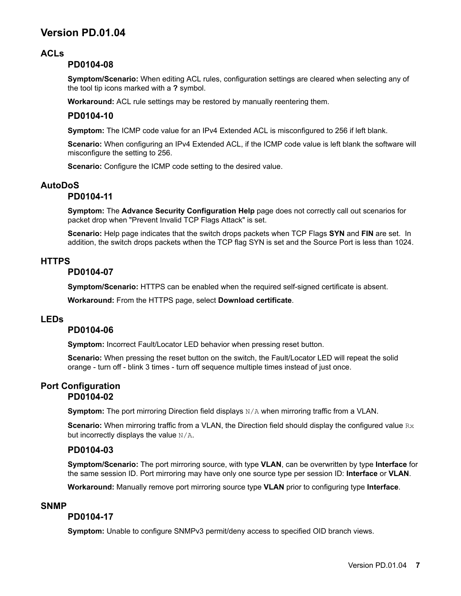## <span id="page-6-0"></span>**Version PD.01.04**

## **ACLs**

## **PD0104-08**

**Symptom/Scenario:** When editing ACL rules, configuration settings are cleared when selecting any of the tool tip icons marked with a **?** symbol.

**Workaround:** ACL rule settings may be restored by manually reentering them.

## **PD0104-10**

**Symptom:** The ICMP code value for an IPv4 Extended ACL is misconfigured to 256 if left blank.

**Scenario:** When configuring an IPv4 Extended ACL, if the ICMP code value is left blank the software will misconfigure the setting to 256.

**Scenario:** Configure the ICMP code setting to the desired value.

## **AutoDoS**

## **PD0104-11**

**Symptom:** The **Advance Security Configuration Help** page does not correctly call out scenarios for packet drop when "Prevent Invalid TCP Flags Attack" is set.

**Scenario:** Help page indicates that the switch drops packets when TCP Flags **SYN** and **FIN** are set. In addition, the switch drops packets wthen the TCP flag SYN is set and the Source Port is less than 1024.

### **HTTPS**

### **PD0104-07**

**Symptom/Scenario:** HTTPS can be enabled when the required self-signed certificate is absent.

**Workaround:** From the HTTPS page, select **Download certificate**.

## **LEDs**

### **PD0104-06**

**Symptom:** Incorrect Fault/Locator LED behavior when pressing reset button.

**Scenario:** When pressing the reset button on the switch, the Fault/Locator LED will repeat the solid orange - turn off - blink 3 times - turn off sequence multiple times instead of just once.

### **Port Configuration PD0104-02**

**Symptom:** The port mirroring Direction field displays  $N/A$  when mirroring traffic from a VLAN.

**Scenario:** When mirroring traffic from a VLAN, the Direction field should display the configured value Rx but incorrectly displays the value  $N/A$ .

### **PD0104-03**

**Symptom/Scenario:** The port mirroring source, with type **VLAN**, can be overwritten by type **Interface** for the same session ID. Port mirroring may have only one source type per session ID: **Interface** or **VLAN**.

**Workaround:** Manually remove port mirroring source type **VLAN** prior to configuring type **Interface**.

### **SNMP**

### **PD0104-17**

**Symptom:** Unable to configure SNMPv3 permit/deny access to specified OID branch views.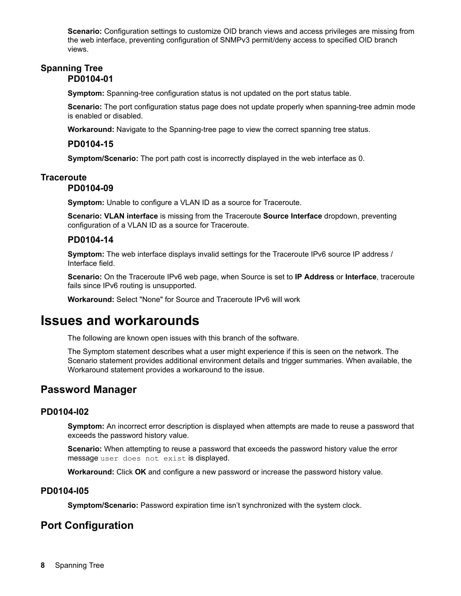<span id="page-7-0"></span>**Scenario:** Configuration settings to customize OID branch views and access privileges are missing from the web interface, preventing configuration of SNMPv3 permit/deny access to specified OID branch views.

## **Spanning Tree PD0104-01**

**Symptom:** Spanning-tree configuration status is not updated on the port status table.

**Scenario:** The port configuration status page does not update properly when spanning-tree admin mode is enabled or disabled.

**Workaround:** Navigate to the Spanning-tree page to view the correct spanning tree status.

## **PD0104-15**

**Symptom/Scenario:** The port path cost is incorrectly displayed in the web interface as 0.

## **Traceroute**

## **PD0104-09**

**Symptom:** Unable to configure a VLAN ID as a source for Traceroute.

**Scenario: VLAN interface** is missing from the Traceroute **Source Interface** dropdown, preventing configuration of a VLAN ID as a source for Traceroute.

## **PD0104-14**

**Symptom:** The web interface displays invalid settings for the Traceroute IPv6 source IP address / Interface field.

**Scenario:** On the Traceroute IPv6 web page, when Source is set to **IP Address** or **Interface**, traceroute fails since IPv6 routing is unsupported.

**Workaround:** Select "None" for Source and Traceroute IPv6 will work

## **Issues and workarounds**

The following are known open issues with this branch of the software.

The Symptom statement describes what a user might experience if this is seen on the network. The Scenario statement provides additional environment details and trigger summaries. When available, the Workaround statement provides a workaround to the issue.

## **Password Manager**

## **PD0104-I02**

**Symptom:** An incorrect error description is displayed when attempts are made to reuse a password that exceeds the password history value.

**Scenario:** When attempting to reuse a password that exceeds the password history value the error message user does not exist is displayed.

**Workaround:** Click **OK** and configure a new password or increase the password history value.

## **PD0104-I05**

**Symptom/Scenario:** Password expiration time isn't synchronized with the system clock.

## **Port Configuration**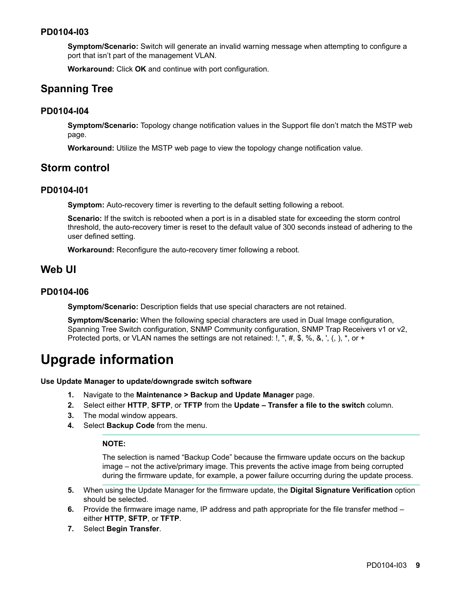## <span id="page-8-0"></span>**PD0104-I03**

**Symptom/Scenario:** Switch will generate an invalid warning message when attempting to configure a port that isn't part of the management VLAN.

**Workaround:** Click **OK** and continue with port configuration.

## **Spanning Tree**

## **PD0104-I04**

**Symptom/Scenario:** Topology change notification values in the Support file don't match the MSTP web page.

**Workaround:** Utilize the MSTP web page to view the topology change notification value.

## **Storm control**

## **PD0104-I01**

**Symptom:** Auto-recovery timer is reverting to the default setting following a reboot.

**Scenario:** If the switch is rebooted when a port is in a disabled state for exceeding the storm control threshold, the auto-recovery timer is reset to the default value of 300 seconds instead of adhering to the user defined setting.

**Workaround:** Reconfigure the auto-recovery timer following a reboot.

## **Web UI**

## **PD0104-I06**

**Symptom/Scenario:** Description fields that use special characters are not retained.

**Symptom/Scenario:** When the following special characters are used in Dual Image configuration, Spanning Tree Switch configuration, SNMP Community configuration, SNMP Trap Receivers v1 or v2, Protected ports, or VLAN names the settings are not retained:  $1,$  ", #, \$, %, &, ', (, ),  $*$ , or +

## **Upgrade information**

#### **Use Update Manager to update/downgrade switch software**

- **1.** Navigate to the **Maintenance > Backup and Update Manager** page.
- **2.** Select either **HTTP**, **SFTP**, or **TFTP** from the **Update Transfer a file to the switch** column.
- **3.** The modal window appears.
- **4.** Select **Backup Code** from the menu.

#### **NOTE:**

The selection is named "Backup Code" because the firmware update occurs on the backup image – not the active/primary image. This prevents the active image from being corrupted during the firmware update, for example, a power failure occurring during the update process.

- **5.** When using the Update Manager for the firmware update, the **Digital Signature Verification** option should be selected.
- **6.** Provide the firmware image name, IP address and path appropriate for the file transfer method either **HTTP**, **SFTP**, or **TFTP**.
- **7.** Select **Begin Transfer**.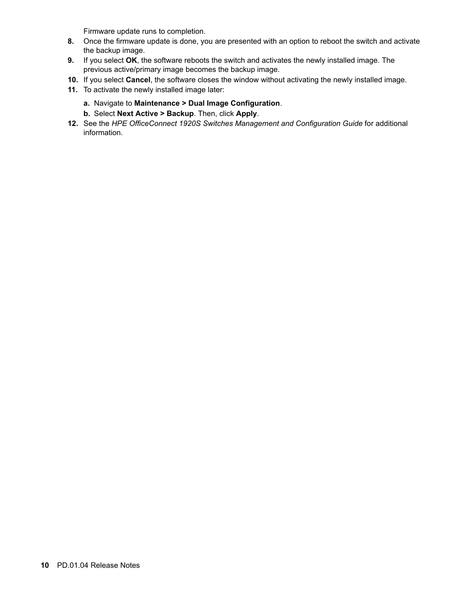Firmware update runs to completion.

- **8.** Once the firmware update is done, you are presented with an option to reboot the switch and activate the backup image.
- **9.** If you select **OK**, the software reboots the switch and activates the newly installed image. The previous active/primary image becomes the backup image.
- **10.** If you select **Cancel**, the software closes the window without activating the newly installed image.
- **11.** To activate the newly installed image later:
	- **a.** Navigate to **Maintenance > Dual Image Configuration**.
	- **b.** Select **Next Active > Backup**. Then, click **Apply**.
- **12.** See the *HPE OfficeConnect 1920S Switches Management and Configuration Guide* for additional information.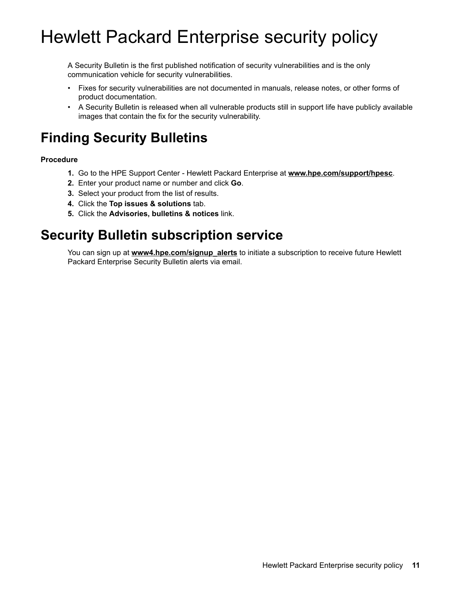# <span id="page-10-0"></span>Hewlett Packard Enterprise security policy

A Security Bulletin is the first published notification of security vulnerabilities and is the only communication vehicle for security vulnerabilities.

- Fixes for security vulnerabilities are not documented in manuals, release notes, or other forms of product documentation.
- A Security Bulletin is released when all vulnerable products still in support life have publicly available images that contain the fix for the security vulnerability.

## **Finding Security Bulletins**

## **Procedure**

- **1.** Go to the HPE Support Center Hewlett Packard Enterprise at **[www.hpe.com/support/hpesc](http://www.hpe.com/support/hpesc)**.
- **2.** Enter your product name or number and click **Go**.
- **3.** Select your product from the list of results.
- **4.** Click the **Top issues & solutions** tab.
- **5.** Click the **Advisories, bulletins & notices** link.

## **Security Bulletin subscription service**

You can sign up at **[www4.hpe.com/signup\\_alerts](http://h41360.www4.hpe.com/signup_alerts.php?jumpid=hpsc_secbulletins)** to initiate a subscription to receive future Hewlett Packard Enterprise Security Bulletin alerts via email.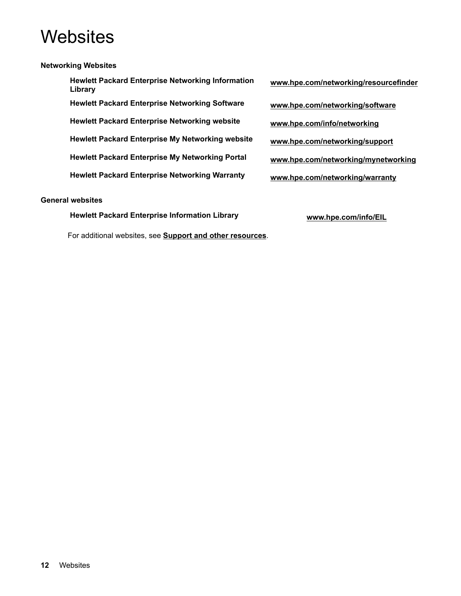# <span id="page-11-0"></span>**Websites**

## **Networking Websites**

**Hewlett Packard Enterprise Networking Information Library Hewlett Packard Enterprise Networking Software [www.hpe.com/networking/software](http://www.hpe.com/networking/software) Hewlett Packard Enterprise Networking website [www.hpe.com/info/networking](http://www.hp.com/info/networking) Hewlett Packard Enterprise My Networking website [www.hpe.com/networking/support](http://www.hpe.com/networking/support) Hewlett Packard Enterprise My Networking Portal [www.hpe.com/networking/mynetworking](http://www.hpe.com/networking/mynetworking) Hewlett Packard Enterprise Networking Warranty [www.hpe.com/networking/warranty](http://www.hpe.com/networking/warranty)**

### **General websites**

**Hewlett Packard Enterprise Information Library [www.hpe.com/info/EIL](http://www.hpe.com/info/EIL)**

For additional websites, see **[Support and other resources](#page-12-0)**.

- **[www.hpe.com/networking/resourcefinder](http://www.hpe.com/networking/resourcefinder)**
-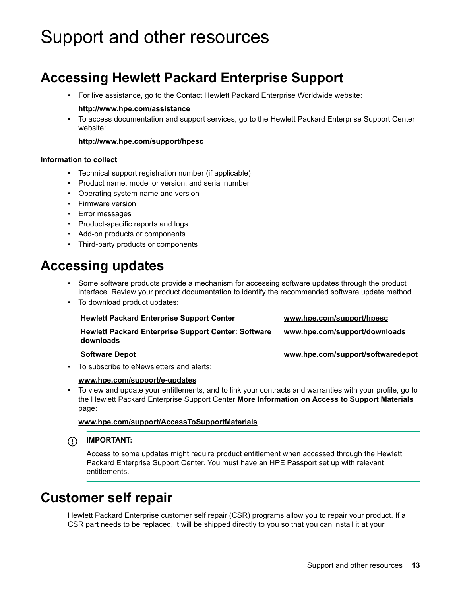# <span id="page-12-0"></span>Support and other resources

## **Accessing Hewlett Packard Enterprise Support**

• For live assistance, go to the Contact Hewlett Packard Enterprise Worldwide website:

### **<http://www.hpe.com/assistance>**

• To access documentation and support services, go to the Hewlett Packard Enterprise Support Center website:

### **<http://www.hpe.com/support/hpesc>**

### **Information to collect**

- Technical support registration number (if applicable)
- Product name, model or version, and serial number
- Operating system name and version
- Firmware version
- Error messages
- Product-specific reports and logs
- Add-on products or components
- Third-party products or components

## **Accessing updates**

- Some software products provide a mechanism for accessing software updates through the product interface. Review your product documentation to identify the recommended software update method.
- To download product updates:

| <b>Hewlett Packard Enterprise Support Center</b>                        | www.hpe.com/support/hpesc         |
|-------------------------------------------------------------------------|-----------------------------------|
| <b>Hewlett Packard Enterprise Support Center: Software</b><br>downloads | www.hpe.com/support/downloads     |
| <b>Software Depot</b>                                                   | www.hpe.com/support/softwaredepot |

• To subscribe to eNewsletters and alerts:

#### **[www.hpe.com/support/e-updates](http://www.hpe.com/support/e-updates)**

• To view and update your entitlements, and to link your contracts and warranties with your profile, go to the Hewlett Packard Enterprise Support Center **More Information on Access to Support Materials** page:

**[www.hpe.com/support/AccessToSupportMaterials](http://www.hpe.com/support/AccessToSupportMaterials)**

**IMPORTANT:**

Access to some updates might require product entitlement when accessed through the Hewlett Packard Enterprise Support Center. You must have an HPE Passport set up with relevant entitlements.

## **Customer self repair**

Hewlett Packard Enterprise customer self repair (CSR) programs allow you to repair your product. If a CSR part needs to be replaced, it will be shipped directly to you so that you can install it at your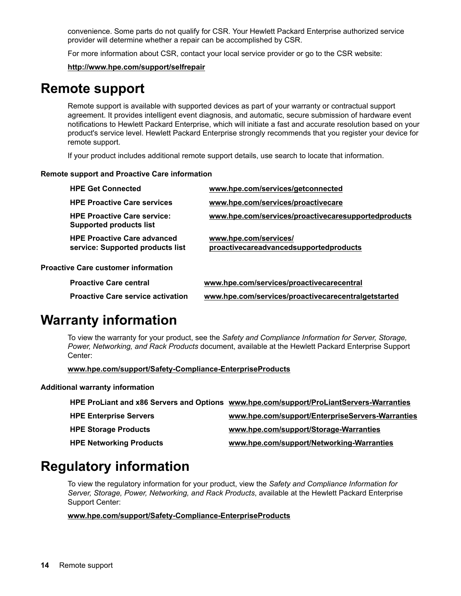<span id="page-13-0"></span>convenience. Some parts do not qualify for CSR. Your Hewlett Packard Enterprise authorized service provider will determine whether a repair can be accomplished by CSR.

For more information about CSR, contact your local service provider or go to the CSR website:

**<http://www.hpe.com/support/selfrepair>**

## **Remote support**

Remote support is available with supported devices as part of your warranty or contractual support agreement. It provides intelligent event diagnosis, and automatic, secure submission of hardware event notifications to Hewlett Packard Enterprise, which will initiate a fast and accurate resolution based on your product's service level. Hewlett Packard Enterprise strongly recommends that you register your device for remote support.

If your product includes additional remote support details, use search to locate that information.

### **Remote support and Proactive Care information**

| <b>HPE Get Connected</b>                                               | www.hpe.com/services/getconnected                               |
|------------------------------------------------------------------------|-----------------------------------------------------------------|
| <b>HPE Proactive Care services</b>                                     | www.hpe.com/services/proactivecare                              |
| <b>HPE Proactive Care service:</b><br><b>Supported products list</b>   | www.hpe.com/services/proactivecaresupportedproducts             |
| <b>HPE Proactive Care advanced</b><br>service: Supported products list | www.hpe.com/services/<br>proactivecareadvancedsupportedproducts |
| <b>Proactive Care customer information</b>                             |                                                                 |
| <b>Proactive Care central</b>                                          | www.hpe.com/services/proactivecarecentral                       |
| <b>Proactive Care service activation</b>                               | www.hpe.com/services/proactivecarecentralgetstarted             |

## **Warranty information**

To view the warranty for your product, see the *Safety and Compliance Information for Server, Storage, Power, Networking, and Rack Products* document, available at the Hewlett Packard Enterprise Support Center:

**[www.hpe.com/support/Safety-Compliance-EnterpriseProducts](http://www.hpe.com/support/Safety-Compliance-EnterpriseProducts)**

### **Additional warranty information**

|                                | HPE ProLiant and x86 Servers and Options www.hpe.com/support/ProLiantServers-Warranties |
|--------------------------------|-----------------------------------------------------------------------------------------|
| <b>HPE Enterprise Servers</b>  | www.hpe.com/support/EnterpriseServers-Warranties                                        |
| <b>HPE Storage Products</b>    | www.hpe.com/support/Storage-Warranties                                                  |
| <b>HPE Networking Products</b> | www.hpe.com/support/Networking-Warranties                                               |

## **Regulatory information**

To view the regulatory information for your product, view the *Safety and Compliance Information for Server, Storage, Power, Networking, and Rack Products*, available at the Hewlett Packard Enterprise Support Center:

### **[www.hpe.com/support/Safety-Compliance-EnterpriseProducts](http://www.hpe.com/support/Safety-Compliance-EnterpriseProducts)**